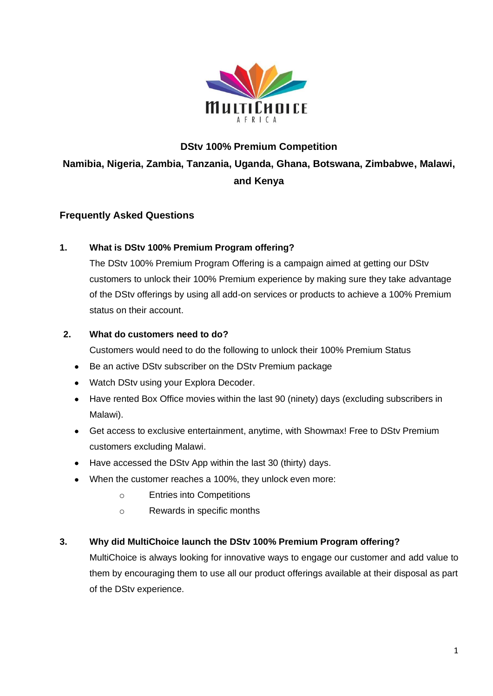

# **DStv 100% Premium Competition Namibia, Nigeria, Zambia, Tanzania, Uganda, Ghana, Botswana, Zimbabwe, Malawi, and Kenya**

# **Frequently Asked Questions**

#### **1. What is DStv 100% Premium Program offering?**

The DStv 100% Premium Program Offering is a campaign aimed at getting our DStv customers to unlock their 100% Premium experience by making sure they take advantage of the DStv offerings by using all add-on services or products to achieve a 100% Premium status on their account.

#### **2. What do customers need to do?**

Customers would need to do the following to unlock their 100% Premium Status

- Be an active DStv subscriber on the DStv Premium package
- Watch DStv using your Explora Decoder.
- Have rented Box Office movies within the last 90 (ninety) days (excluding subscribers in Malawi).
- Get access to exclusive entertainment, anytime, with Showmax! Free to DStv Premium customers excluding Malawi.
- Have accessed the DStv App within the last 30 (thirty) days.
- When the customer reaches a 100%, they unlock even more:
	- o Entries into Competitions
	- o Rewards in specific months

#### **3. Why did MultiChoice launch the DStv 100% Premium Program offering?**

MultiChoice is always looking for innovative ways to engage our customer and add value to them by encouraging them to use all our product offerings available at their disposal as part of the DStv experience.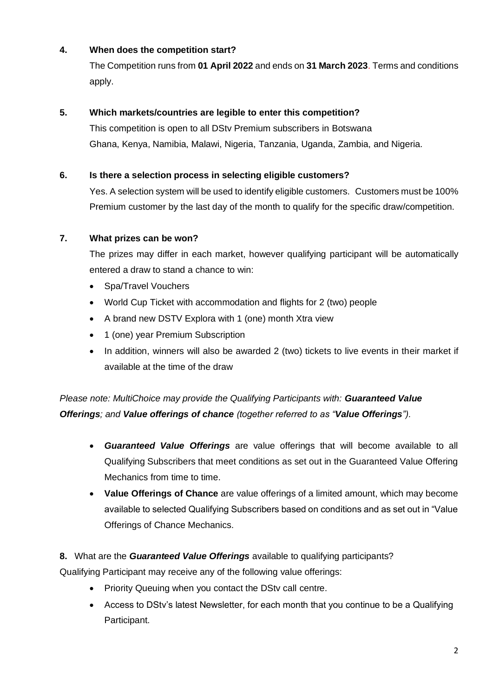# **4. When does the competition start?**

The Competition runs from **01 April 2022** and ends on **31 March 2023**. Terms and conditions apply.

#### **5. Which markets/countries are legible to enter this competition?**

This competition is open to all DStv Premium subscribers in Botswana Ghana, Kenya, Namibia, Malawi, Nigeria, Tanzania, Uganda, Zambia, and Nigeria.

#### **6. Is there a selection process in selecting eligible customers?**

Yes. A selection system will be used to identify eligible customers. Customers must be 100% Premium customer by the last day of the month to qualify for the specific draw/competition.

#### **7. What prizes can be won?**

The prizes may differ in each market, however qualifying participant will be automatically entered a draw to stand a chance to win:

- Spa/Travel Vouchers
- World Cup Ticket with accommodation and flights for 2 (two) people
- A brand new DSTV Explora with 1 (one) month Xtra view
- 1 (one) year Premium Subscription
- In addition, winners will also be awarded 2 (two) tickets to live events in their market if available at the time of the draw

*Please note: MultiChoice may provide the Qualifying Participants with: Guaranteed Value Offerings; and Value offerings of chance (together referred to as "Value Offerings").*

- *Guaranteed Value Offerings* are value offerings that will become available to all Qualifying Subscribers that meet conditions as set out in the Guaranteed Value Offering Mechanics from time to time.
- **Value Offerings of Chance** are value offerings of a limited amount, which may become available to selected Qualifying Subscribers based on conditions and as set out in "Value Offerings of Chance Mechanics.

#### **8.** What are the *Guaranteed Value Offerings* available to qualifying participants?

Qualifying Participant may receive any of the following value offerings:

- Priority Queuing when you contact the DStv call centre.
- Access to DStv's latest Newsletter, for each month that you continue to be a Qualifying Participant.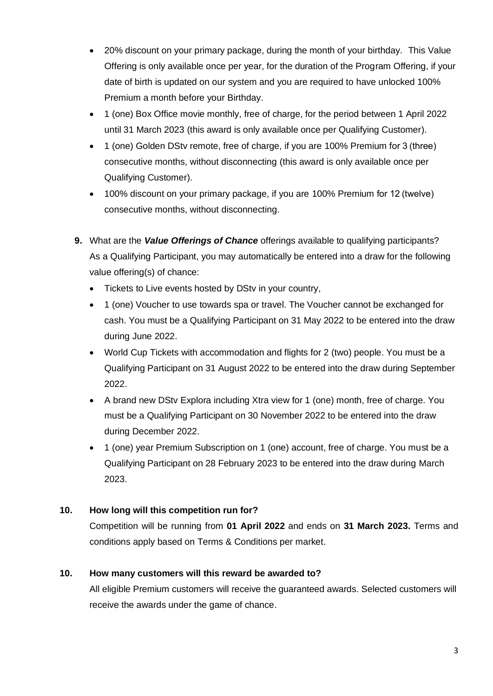- 20% discount on your primary package, during the month of your birthday. This Value Offering is only available once per year, for the duration of the Program Offering, if your date of birth is updated on our system and you are required to have unlocked 100% Premium a month before your Birthday.
- 1 (one) Box Office movie monthly, free of charge, for the period between 1 April 2022 until 31 March 2023 (this award is only available once per Qualifying Customer).
- 1 (one) Golden DStv remote, free of charge, if you are 100% Premium for 3 (three) consecutive months, without disconnecting (this award is only available once per Qualifying Customer).
- 100% discount on your primary package, if you are 100% Premium for 12 (twelve) consecutive months, without disconnecting.
- **9.** What are the *Value Offerings of Chance* offerings available to qualifying participants? As a Qualifying Participant, you may automatically be entered into a draw for the following value offering(s) of chance:
	- Tickets to Live events hosted by DStv in your country,
	- 1 (one) Voucher to use towards spa or travel. The Voucher cannot be exchanged for cash. You must be a Qualifying Participant on 31 May 2022 to be entered into the draw during June 2022.
	- World Cup Tickets with accommodation and flights for 2 (two) people. You must be a Qualifying Participant on 31 August 2022 to be entered into the draw during September 2022.
	- A brand new DStv Explora including Xtra view for 1 (one) month, free of charge. You must be a Qualifying Participant on 30 November 2022 to be entered into the draw during December 2022.
	- 1 (one) year Premium Subscription on 1 (one) account, free of charge. You must be a Qualifying Participant on 28 February 2023 to be entered into the draw during March 2023.

# **10. How long will this competition run for?**

Competition will be running from **01 April 2022** and ends on **31 March 2023.** Terms and conditions apply based on Terms & Conditions per market.

# **10. How many customers will this reward be awarded to?**

All eligible Premium customers will receive the guaranteed awards. Selected customers will receive the awards under the game of chance.